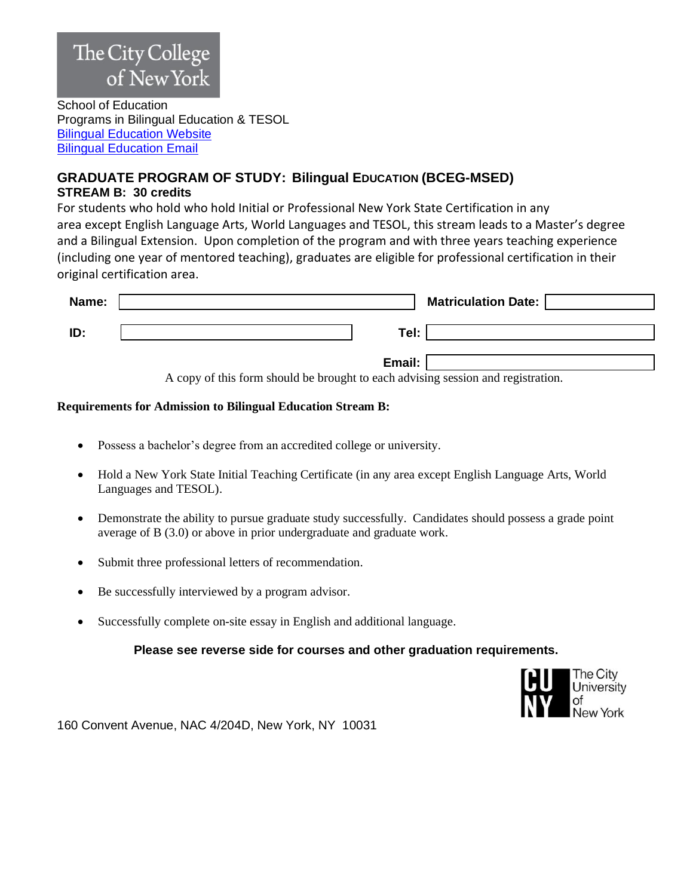# The City College of New York

School of Education Programs in Bilingual Education & TESOL [Bilingual Education Website](http://www.ccny.cuny.edu/bilingual) [Bilingual Education Email](mailto:Bilingual@ccny.cuny.edu)

## **GRADUATE PROGRAM OF STUDY: Bilingual EDUCATION (BCEG-MSED) STREAM B: 30 credits**

For students who hold who hold Initial or Professional New York State Certification in any area except English Language Arts, World Languages and TESOL, this stream leads to a Master's degree and a Bilingual Extension. Upon completion of the program and with three years teaching experience (including one year of mentored teaching), graduates are eligible for professional certification in their original certification area.

| Name: | <b>Matriculation Date:</b>                                                               |
|-------|------------------------------------------------------------------------------------------|
| ID:   | Tel:                                                                                     |
|       | Email:<br>A convect this form should be hrought to seek edizing cossion and registration |

A copy of this form should be brought to each advising session and registration.

### **Requirements for Admission to Bilingual Education Stream B:**

- Possess a bachelor's degree from an accredited college or university.
- Hold a New York State Initial Teaching Certificate (in any area except English Language Arts, World Languages and TESOL).
- Demonstrate the ability to pursue graduate study successfully. Candidates should possess a grade point average of B (3.0) or above in prior undergraduate and graduate work.
- Submit three professional letters of recommendation.
- Be successfully interviewed by a program advisor.
- Successfully complete on-site essay in English and additional language.

**Please see reverse side for courses and other graduation requirements.**



160 Convent Avenue, NAC 4/204D, New York, NY 10031